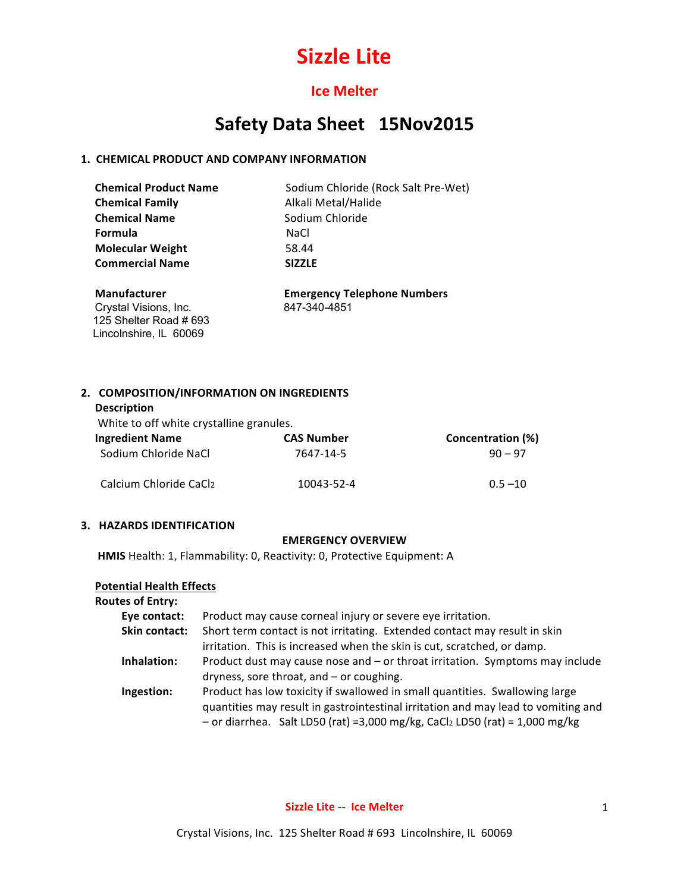## **Ice Melter**

## Safety Data Sheet 15Nov2015

#### **1. CHEMICAL PRODUCT AND COMPANY INFORMATION**

| <b>Chemical Product Name</b> | Sodium Chloride (Rock Salt Pre-Wet) |
|------------------------------|-------------------------------------|
| <b>Chemical Family</b>       | Alkali Metal/Halide                 |
| <b>Chemical Name</b>         | Sodium Chloride                     |
| Formula                      | NaCl                                |
| <b>Molecular Weight</b>      | 58.44                               |
| <b>Commercial Name</b>       | <b>SIZZLE</b>                       |

Crystal Visions, Inc. 847-340-4851 125 Shelter Road # 693 Lincolnshire, IL 60069

 **Manufacturer Emergency Telephone Numbers**

#### 2. COMPOSITION/INFORMATION ON INGREDIENTS

#### **Description**

White to off white crystalline granules.

| <b>Ingredient Name</b> | <b>CAS Number</b> | Concentration (%) |
|------------------------|-------------------|-------------------|
| Sodium Chloride NaCl   | 7647-14-5         | $90 - 97$         |
| Calcium Chloride CaCl2 | 10043-52-4        | $0.5 - 10$        |

#### **3. HAZARDS IDENTIFICATION**

#### **EMERGENCY OVERVIEW**

**HMIS** Health: 1, Flammability: 0, Reactivity: 0, Protective Equipment: A

#### **Potential Health Effects**

### **Routes of Entry: Eye contact:** Product may cause corneal injury or severe eye irritation. **Skin contact:** Short term contact is not irritating. Extended contact may result in skin irritation. This is increased when the skin is cut, scratched, or damp. **Inhalation:** Product dust may cause nose and – or throat irritation. Symptoms may include dryness, sore throat, and  $-$  or coughing. **Ingestion:** Product has low toxicity if swallowed in small quantities. Swallowing large quantities may result in gastrointestinal irritation and may lead to vomiting and  $-$  or diarrhea. Salt LD50 (rat) =3,000 mg/kg, CaCl2 LD50 (rat) = 1,000 mg/kg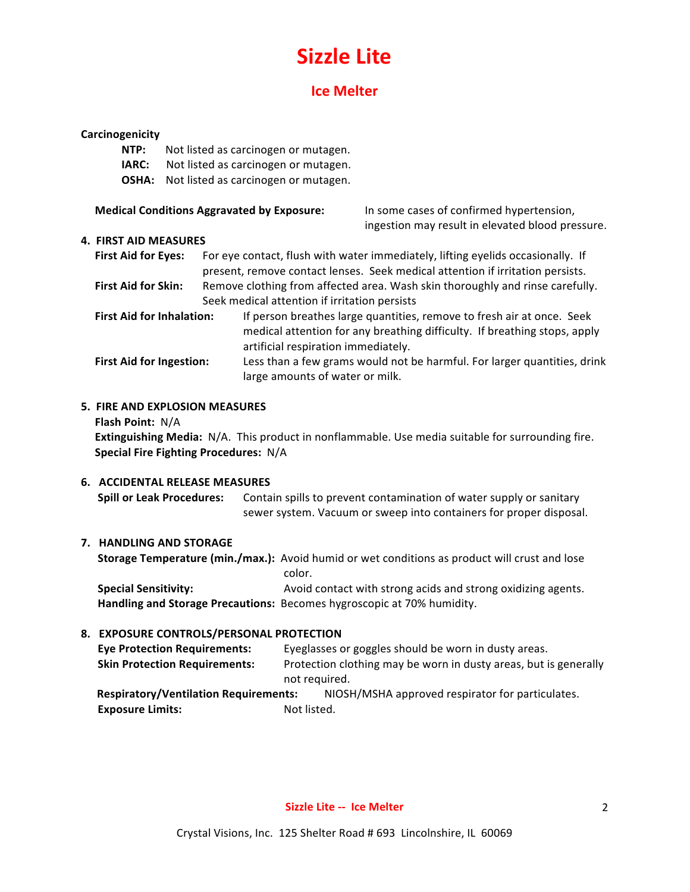## **Ice Melter**

#### **Carcinogenicity**

- **NTP:** Not listed as carcinogen or mutagen.
- **IARC:** Not listed as carcinogen or mutagen.
- **OSHA:** Not listed as carcinogen or mutagen.

| <b>Medical Conditions Aggravated by Exposure:</b> | In some cases of confirmed hypertension, |
|---------------------------------------------------|------------------------------------------|
|---------------------------------------------------|------------------------------------------|

ingestion may result in elevated blood pressure.

#### **4. FIRST AID MEASURES**

| <b>First Aid for Eves:</b> | For eye contact, flush with water immediately, lifting eyelids occasionally. If |  |
|----------------------------|---------------------------------------------------------------------------------|--|
|                            | present, remove contact lenses. Seek medical attention if irritation persists.  |  |
| Eirct Aid for Cline        | Bamove clathing from affected area. Wash skip thoroughly and rinse carefully    |  |

**First Aid for Skin:** Remove clothing from affected area. Wash skin thoroughly and rinse carefully. Seek medical attention if irritation persists

- **First Aid for Inhalation:** If person breathes large quantities, remove to fresh air at once. Seek medical attention for any breathing difficulty. If breathing stops, apply artificial respiration immediately.
- **First Aid for Ingestion:** Less than a few grams would not be harmful. For larger quantities, drink large amounts of water or milk.

#### **5. FIRE AND EXPLOSION MEASURES**

**Flash Point:** N/A

**Extinguishing Media:** N/A. This product in nonflammable. Use media suitable for surrounding fire. **Special Fire Fighting Procedures: N/A** 

#### **6. ACCIDENTAL RELEASE MEASURES**

**Spill or Leak Procedures:** Contain spills to prevent contamination of water supply or sanitary sewer system. Vacuum or sweep into containers for proper disposal.

#### **7. HANDLING AND STORAGE**

**Storage Temperature (min./max.):** Avoid humid or wet conditions as product will crust and lose color. **Special Sensitivity: Avoid contact with strong acids and strong oxidizing agents.** 

Handling and Storage Precautions: Becomes hygroscopic at 70% humidity.

#### **8. EXPOSURE CONTROLS/PERSONAL PROTECTION**

| <b>Eye Protection Requirements:</b>          |             | Eyeglasses or goggles should be worn in dusty areas.             |
|----------------------------------------------|-------------|------------------------------------------------------------------|
| <b>Skin Protection Requirements:</b>         |             | Protection clothing may be worn in dusty areas, but is generally |
|                                              |             | not required.                                                    |
| <b>Respiratory/Ventilation Requirements:</b> |             | NIOSH/MSHA approved respirator for particulates.                 |
| <b>Exposure Limits:</b>                      | Not listed. |                                                                  |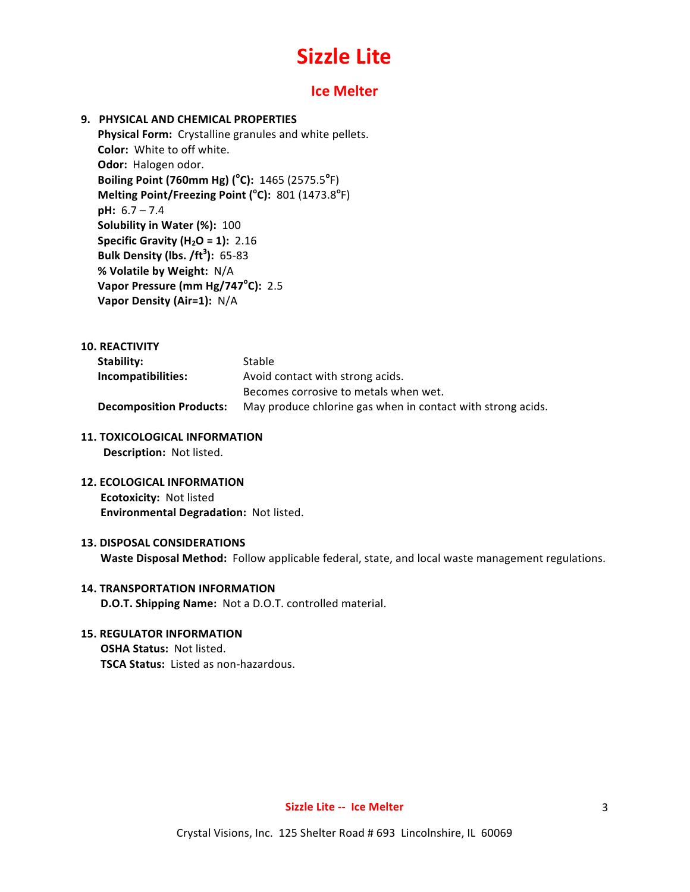### **Ice Melter**

#### **9. PHYSICAL AND CHEMICAL PROPERTIES**

Physical Form: Crystalline granules and white pellets. **Color:** White to off white. **Odor:** Halogen odor. **Boiling Point (760mm Hg) (°C):** 1465 (2575.5°F) **Melting Point/Freezing Point (°C):** 801 (1473.8°F) **pH:**  $6.7 - 7.4$ **Solubility in Water (%): 100 Specific Gravity (H<sub>2</sub>O = 1):** 2.16 **Bulk Density (lbs. /ft<sup>3</sup> ):** 65-83 **% Volatile by Weight:** N/A **Vapor Pressure (mm Hg/747°C): 2.5 Vapor Density (Air=1):** N/A

#### **10. REACTIVITY**

| Stability:                     | Stable                                                      |
|--------------------------------|-------------------------------------------------------------|
| Incompatibilities:             | Avoid contact with strong acids.                            |
|                                | Becomes corrosive to metals when wet.                       |
| <b>Decomposition Products:</b> | May produce chlorine gas when in contact with strong acids. |

#### **11. TOXICOLOGICAL INFORMATION**

**Description:** Not listed.

**12. ECOLOGICAL INFORMATION Ecotoxicity: Not listed Environmental Degradation: Not listed.** 

#### **13. DISPOSAL CONSIDERATIONS**

**Waste Disposal Method:** Follow applicable federal, state, and local waste management regulations.

#### **14. TRANSPORTATION INFORMATION D.O.T. Shipping Name:** Not a D.O.T. controlled material.

#### **15. REGULATOR INFORMATION**

**OSHA Status: Not listed. TSCA Status:** Listed as non-hazardous.